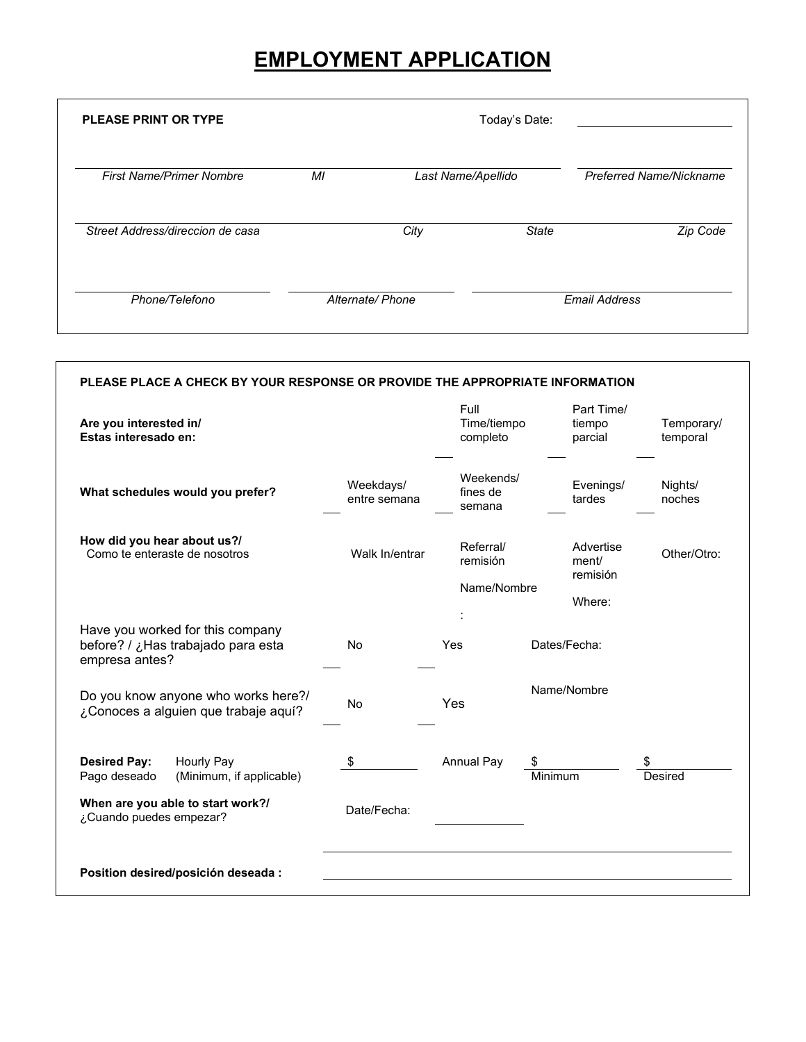# **EMPLOYMENT APPLICATION**

| <b>PLEASE PRINT OR TYPE</b>      | Today's Date: |                    |              |                                |  |
|----------------------------------|---------------|--------------------|--------------|--------------------------------|--|
| <b>First Name/Primer Nombre</b>  | MI            | Last Name/Apellido |              | <b>Preferred Name/Nickname</b> |  |
| Street Address/direccion de casa |               | City               | <b>State</b> | Zip Code                       |  |
| Phone/Telefono                   |               | Alternate/ Phone   |              | <b>Email Address</b>           |  |

٦

I

| PLEASE PLACE A CHECK BY YOUR RESPONSE OR PROVIDE THE APPROPRIATE INFORMATION             |                           |                                      |                                          |                        |  |  |
|------------------------------------------------------------------------------------------|---------------------------|--------------------------------------|------------------------------------------|------------------------|--|--|
| Are you interested in/<br>Estas interesado en:                                           |                           | Full<br>Time/tiempo<br>completo      | Part Time/<br>tiempo<br>parcial          | Temporary/<br>temporal |  |  |
| What schedules would you prefer?                                                         | Weekdays/<br>entre semana | Weekends/<br>fines de<br>semana      |                                          | Nights/<br>noches      |  |  |
| How did you hear about us?/<br>Como te enteraste de nosotros                             | Walk In/entrar            | Referral/<br>remisión<br>Name/Nombre | Advertise<br>ment/<br>remisión<br>Where: | Other/Otro:            |  |  |
| Have you worked for this company<br>before? / ¿Has trabajado para esta<br>empresa antes? | <b>No</b>                 | Yes                                  | Dates/Fecha:                             |                        |  |  |
| Do you know anyone who works here?/<br>¿Conoces a alguien que trabaje aquí?              | <b>No</b>                 | Yes                                  | Name/Nombre                              |                        |  |  |
| <b>Desired Pay:</b><br>Hourly Pay<br>Pago deseado<br>(Minimum, if applicable)            | \$                        | <b>Annual Pay</b>                    | Minimum                                  | Desired                |  |  |
| When are you able to start work?/<br>¿Cuando puedes empezar?                             | Date/Fecha:               |                                      |                                          |                        |  |  |
| Position desired/posición deseada :                                                      |                           |                                      |                                          |                        |  |  |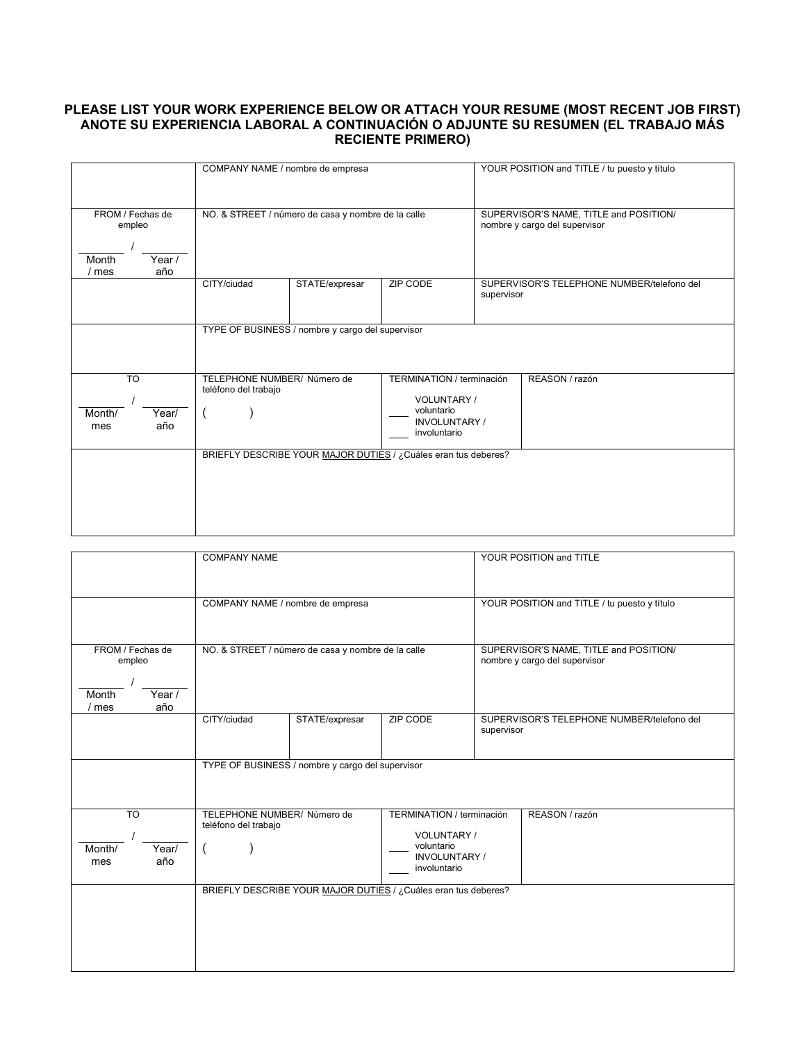#### **PLEASE LIST YOUR WORK EXPERIENCE BELOW OR ATTACH YOUR RESUME (MOST RECENT JOB FIRST) ANOTE SU EXPERIENCIA LABORAL A CONTINUACIÓN O ADJUNTE SU RESUMEN (EL TRABAJO MÁS RECIENTE PRIMERO)**

|                                                               | COMPANY NAME / nombre de empresa                    |                |                                                                                                      | YOUR POSITION and TITLE / tu puesto y título             |                |  |
|---------------------------------------------------------------|-----------------------------------------------------|----------------|------------------------------------------------------------------------------------------------------|----------------------------------------------------------|----------------|--|
|                                                               |                                                     |                |                                                                                                      |                                                          |                |  |
| FROM / Fechas de<br>empleo<br>Year /<br>Month<br>/ mes<br>año | NO. & STREET / número de casa y nombre de la calle  |                | SUPERVISOR'S NAME, TITLE and POSITION/<br>nombre y cargo del supervisor                              |                                                          |                |  |
|                                                               | CITY/ciudad                                         | STATE/expresar | <b>ZIP CODE</b>                                                                                      | SUPERVISOR'S TELEPHONE NUMBER/telefono del<br>supervisor |                |  |
|                                                               | TYPE OF BUSINESS / nombre y cargo del supervisor    |                |                                                                                                      |                                                          |                |  |
| <b>TO</b><br>Year/<br>Month/<br>año<br>mes                    | TELEPHONE NUMBER/ Número de<br>teléfono del trabajo |                | TERMINATION / terminación<br><b>VOLUNTARY/</b><br>voluntario<br><b>INVOLUNTARY /</b><br>involuntario |                                                          | REASON / razón |  |
|                                                               |                                                     |                | BRIEFLY DESCRIBE YOUR MAJOR DUTIES / ¿Cuáles eran tus deberes?                                       |                                                          |                |  |

|                                                                 | <b>COMPANY NAME</b>                                 |                                                  |                                                                                                | YOUR POSITION and TITLE                                                 |                                            |  |
|-----------------------------------------------------------------|-----------------------------------------------------|--------------------------------------------------|------------------------------------------------------------------------------------------------|-------------------------------------------------------------------------|--------------------------------------------|--|
|                                                                 | COMPANY NAME / nombre de empresa                    |                                                  |                                                                                                | YOUR POSITION and TITLE / tu puesto y título                            |                                            |  |
| FROM / Fechas de<br>empleo<br>Month<br>Year /<br>año<br>$/$ mes | NO. & STREET / número de casa y nombre de la calle  |                                                  |                                                                                                | SUPERVISOR'S NAME, TITLE and POSITION/<br>nombre y cargo del supervisor |                                            |  |
|                                                                 | CITY/ciudad                                         | STATE/expresar                                   | <b>ZIP CODE</b>                                                                                | supervisor                                                              | SUPERVISOR'S TELEPHONE NUMBER/telefono del |  |
|                                                                 |                                                     | TYPE OF BUSINESS / nombre y cargo del supervisor |                                                                                                |                                                                         |                                            |  |
| $\overline{10}$<br>Year/<br>Month/<br>año<br>mes                | TELEPHONE NUMBER/ Número de<br>teléfono del trabajo |                                                  | TERMINATION / terminación<br>VOLUNTARY /<br>voluntario<br><b>INVOLUNTARY /</b><br>involuntario |                                                                         | REASON / razón                             |  |
|                                                                 |                                                     |                                                  | BRIEFLY DESCRIBE YOUR MAJOR DUTIES / ¿Cuáles eran tus deberes?                                 |                                                                         |                                            |  |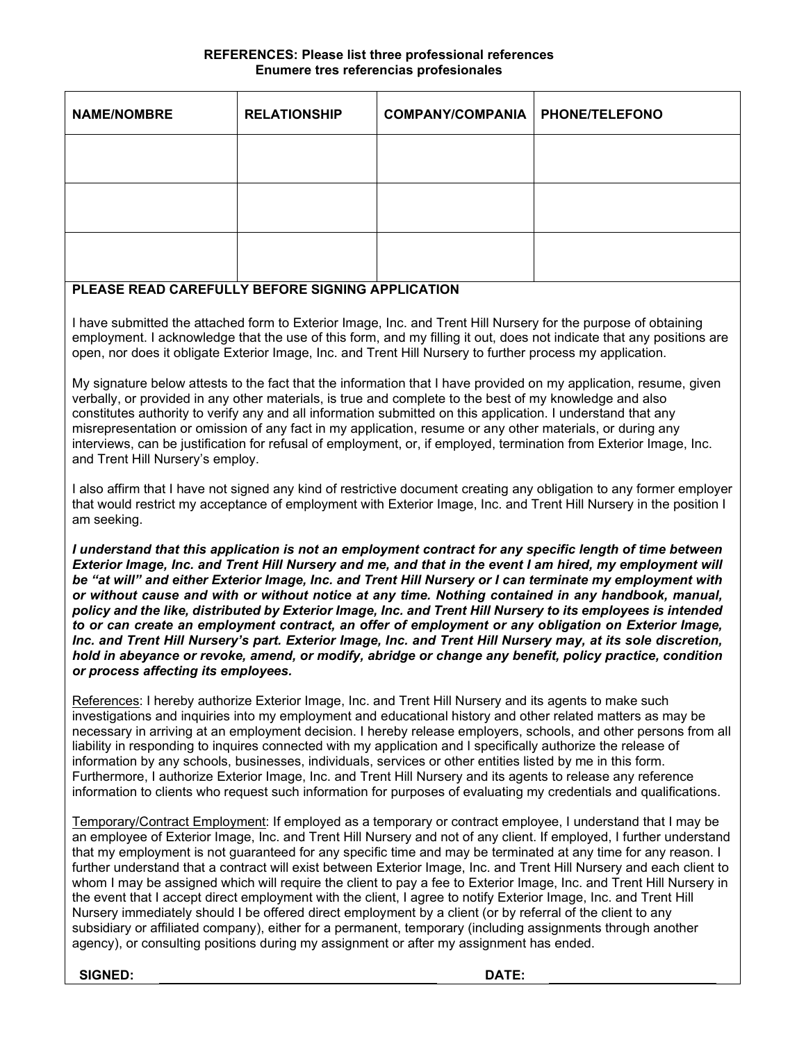#### **REFERENCES: Please list three professional references Enumere tres referencias profesionales**

| <b>NAME/NOMBRE</b> | <b>RELATIONSHIP</b> | <b>COMPANY/COMPANIA   PHONE/TELEFONO</b> |  |
|--------------------|---------------------|------------------------------------------|--|
|                    |                     |                                          |  |
|                    |                     |                                          |  |
|                    |                     |                                          |  |

### **PLEASE READ CAREFULLY BEFORE SIGNING APPLICATION**

I have submitted the attached form to Exterior Image, Inc. and Trent Hill Nursery for the purpose of obtaining employment. I acknowledge that the use of this form, and my filling it out, does not indicate that any positions are open, nor does it obligate Exterior Image, Inc. and Trent Hill Nursery to further process my application.

My signature below attests to the fact that the information that I have provided on my application, resume, given verbally, or provided in any other materials, is true and complete to the best of my knowledge and also constitutes authority to verify any and all information submitted on this application. I understand that any misrepresentation or omission of any fact in my application, resume or any other materials, or during any interviews, can be justification for refusal of employment, or, if employed, termination from Exterior Image, Inc. and Trent Hill Nursery's employ.

I also affirm that I have not signed any kind of restrictive document creating any obligation to any former employer that would restrict my acceptance of employment with Exterior Image, Inc. and Trent Hill Nursery in the position I am seeking.

*I understand that this application is not an employment contract for any specific length of time between Exterior Image, Inc. and Trent Hill Nursery and me, and that in the event I am hired, my employment will be "at will" and either Exterior Image, Inc. and Trent Hill Nursery or I can terminate my employment with or without cause and with or without notice at any time. Nothing contained in any handbook, manual, policy and the like, distributed by Exterior Image, Inc. and Trent Hill Nursery to its employees is intended to or can create an employment contract, an offer of employment or any obligation on Exterior Image, Inc. and Trent Hill Nursery's part. Exterior Image, Inc. and Trent Hill Nursery may, at its sole discretion, hold in abeyance or revoke, amend, or modify, abridge or change any benefit, policy practice, condition or process affecting its employees.*

References: I hereby authorize Exterior Image, Inc. and Trent Hill Nursery and its agents to make such investigations and inquiries into my employment and educational history and other related matters as may be necessary in arriving at an employment decision. I hereby release employers, schools, and other persons from all liability in responding to inquires connected with my application and I specifically authorize the release of information by any schools, businesses, individuals, services or other entities listed by me in this form. Furthermore, I authorize Exterior Image, Inc. and Trent Hill Nursery and its agents to release any reference information to clients who request such information for purposes of evaluating my credentials and qualifications.

Temporary/Contract Employment: If employed as a temporary or contract employee, I understand that I may be an employee of Exterior Image, Inc. and Trent Hill Nursery and not of any client. If employed, I further understand that my employment is not guaranteed for any specific time and may be terminated at any time for any reason. I further understand that a contract will exist between Exterior Image, Inc. and Trent Hill Nursery and each client to whom I may be assigned which will require the client to pay a fee to Exterior Image, Inc. and Trent Hill Nursery in the event that I accept direct employment with the client, I agree to notify Exterior Image, Inc. and Trent Hill Nursery immediately should I be offered direct employment by a client (or by referral of the client to any subsidiary or affiliated company), either for a permanent, temporary (including assignments through another agency), or consulting positions during my assignment or after my assignment has ended.

**SIGNED: DATE:**